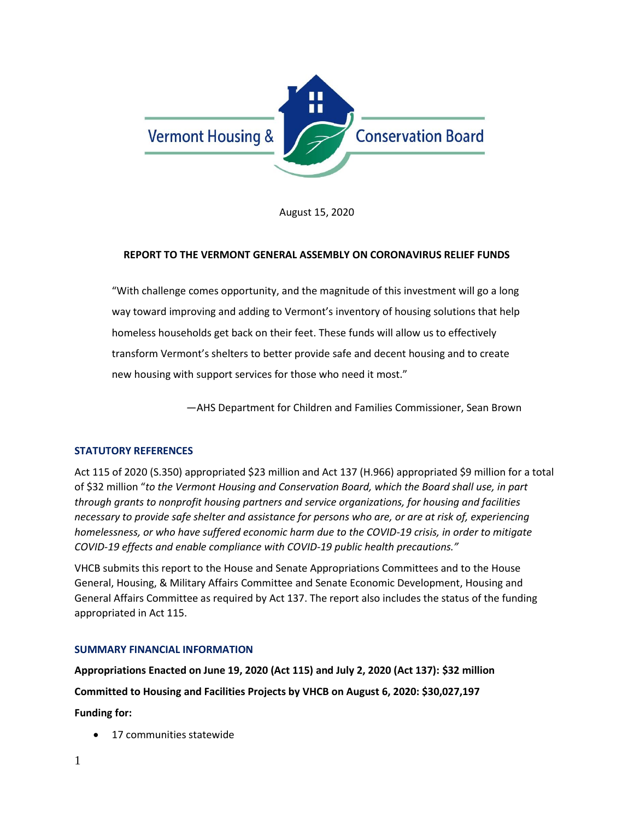

August 15, 2020

### **REPORT TO THE VERMONT GENERAL ASSEMBLY ON CORONAVIRUS RELIEF FUNDS**

"With challenge comes opportunity, and the magnitude of this investment will go a long way toward improving and adding to Vermont's inventory of housing solutions that help homeless households get back on their feet. These funds will allow us to effectively transform Vermont's shelters to better provide safe and decent housing and to create new housing with support services for those who need it most."

—AHS Department for Children and Families Commissioner, Sean Brown

# **STATUTORY REFERENCES**

Act 115 of 2020 (S.350) appropriated \$23 million and Act 137 (H.966) appropriated \$9 million for a total of \$32 million "*to the Vermont Housing and Conservation Board, which the Board shall use, in part through grants to nonprofit housing partners and service organizations, for housing and facilities necessary to provide safe shelter and assistance for persons who are, or are at risk of, experiencing homelessness, or who have suffered economic harm due to the COVID-19 crisis, in order to mitigate COVID-19 effects and enable compliance with COVID-19 public health precautions."*

VHCB submits this report to the House and Senate Appropriations Committees and to the House General, [Housing, & Military Affairs](https://legislature.vermont.gov/committee/detail/2020/13) Committee and Senate Economic Development, Housing and General Affairs Committee as required by Act 137. The report also includes the status of the funding appropriated in Act 115.

#### **SUMMARY FINANCIAL INFORMATION**

**Appropriations Enacted on June 19, 2020 (Act 115) and July 2, 2020 (Act 137): \$32 million**

**Committed to Housing and Facilities Projects by VHCB on August 6, 2020: \$30,027,197**

**Funding for:** 

17 communities statewide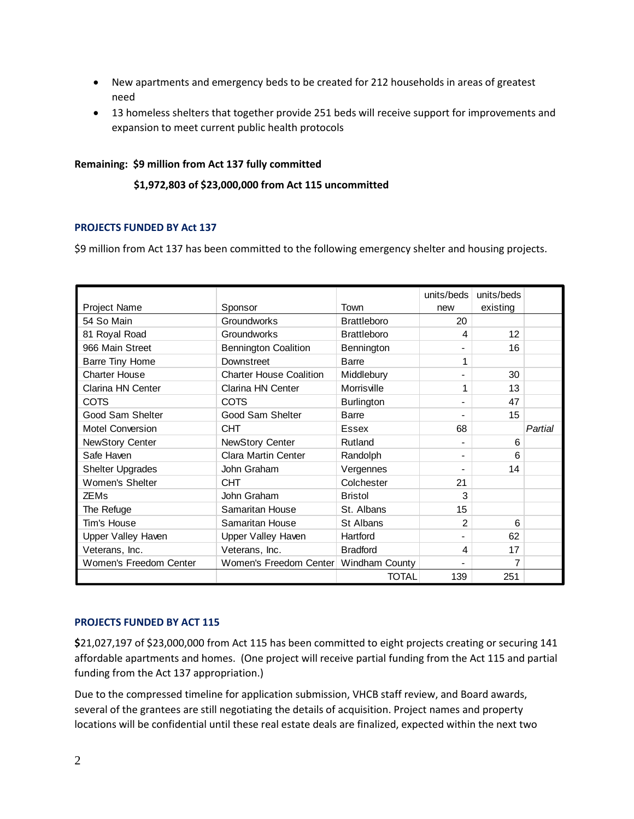- New apartments and emergency beds to be created for 212 households in areas of greatest need
- 13 homeless shelters that together provide 251 beds will receive support for improvements and expansion to meet current public health protocols

# **Remaining: \$9 million from Act 137 fully committed**

## **\$1,972,803 of \$23,000,000 from Act 115 uncommitted**

## **PROJECTS FUNDED BY Act 137**

\$9 million from Act 137 has been committed to the following emergency shelter and housing projects.

|                           |                                         |                    | units/beds | units/beds |         |
|---------------------------|-----------------------------------------|--------------------|------------|------------|---------|
| Project Name              | Sponsor                                 | Town               | new        | existing   |         |
| 54 So Main                | <b>Groundworks</b>                      | <b>Brattleboro</b> | 20         |            |         |
| 81 Royal Road             | Groundworks                             | <b>Brattleboro</b> | 4          | 12         |         |
| 966 Main Street           | <b>Bennington Coalition</b>             | Bennington         |            | 16         |         |
| Barre Tiny Home           | Downstreet                              | <b>Barre</b>       |            |            |         |
| <b>Charter House</b>      | <b>Charter House Coalition</b>          | Middlebury         |            | 30         |         |
| Clarina HN Center         | Clarina HN Center                       | Morrisville        | 1          | 13         |         |
| <b>COTS</b>               | <b>COTS</b>                             | <b>Burlington</b>  |            | 47         |         |
| Good Sam Shelter          | Good Sam Shelter                        | Barre              |            | 15         |         |
| <b>Motel Conversion</b>   | <b>CHT</b>                              | Essex              | 68         |            | Partial |
| <b>NewStory Center</b>    | <b>NewStory Center</b>                  | Rutland            |            | 6          |         |
| Safe Haven                | <b>Clara Martin Center</b>              | Randolph           |            | 6          |         |
| <b>Shelter Upgrades</b>   | John Graham                             | Vergennes          |            | 14         |         |
| Women's Shelter           | <b>CHT</b>                              | Colchester         | 21         |            |         |
| <b>ZEMs</b>               | John Graham                             | <b>Bristol</b>     | 3          |            |         |
| The Refuge                | Samaritan House                         | St. Albans         | 15         |            |         |
| Tim's House               | Samaritan House                         | St Albans          | 2          | 6          |         |
| <b>Upper Valley Haven</b> | <b>Upper Valley Haven</b>               | Hartford           |            | 62         |         |
| Veterans, Inc.            | Veterans, Inc.                          | <b>Bradford</b>    | 4          | 17         |         |
| Women's Freedom Center    | Women's Freedom Center   Windham County |                    |            | 7          |         |
|                           |                                         | <b>TOTAL</b>       | 139        | 251        |         |

#### **PROJECTS FUNDED BY ACT 115**

**\$**21,027,197 of \$23,000,000 from Act 115 has been committed to eight projects creating or securing 141 affordable apartments and homes. (One project will receive partial funding from the Act 115 and partial funding from the Act 137 appropriation.)

Due to the compressed timeline for application submission, VHCB staff review, and Board awards, several of the grantees are still negotiating the details of acquisition. Project names and property locations will be confidential until these real estate deals are finalized, expected within the next two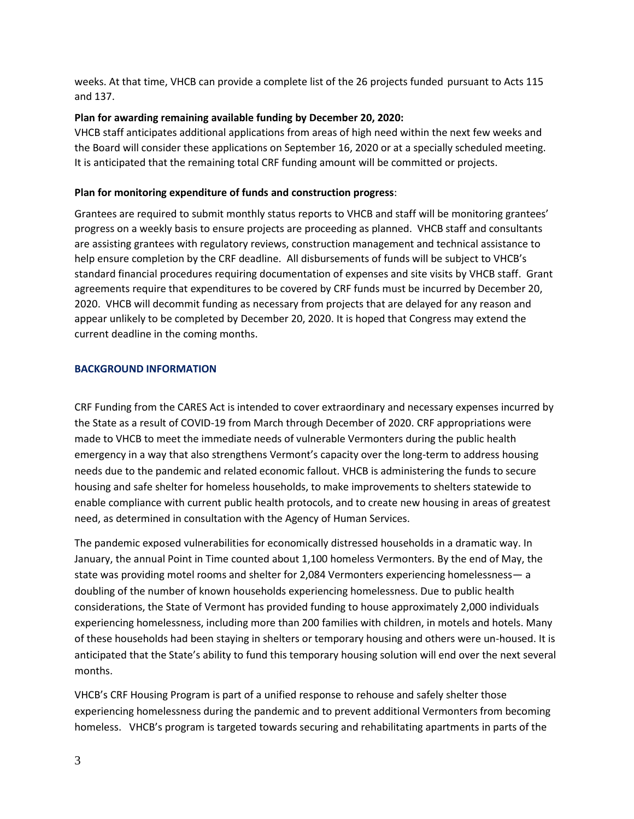weeks. At that time, VHCB can provide a complete list of the 26 projects funded pursuant to Acts 115 and 137.

# **Plan for awarding remaining available funding by December 20, 2020:**

VHCB staff anticipates additional applications from areas of high need within the next few weeks and the Board will consider these applications on September 16, 2020 or at a specially scheduled meeting. It is anticipated that the remaining total CRF funding amount will be committed or projects.

# **Plan for monitoring expenditure of funds and construction progress**:

Grantees are required to submit monthly status reports to VHCB and staff will be monitoring grantees' progress on a weekly basis to ensure projects are proceeding as planned. VHCB staff and consultants are assisting grantees with regulatory reviews, construction management and technical assistance to help ensure completion by the CRF deadline. All disbursements of funds will be subject to VHCB's standard financial procedures requiring documentation of expenses and site visits by VHCB staff. Grant agreements require that expenditures to be covered by CRF funds must be incurred by December 20, 2020. VHCB will decommit funding as necessary from projects that are delayed for any reason and appear unlikely to be completed by December 20, 2020. It is hoped that Congress may extend the current deadline in the coming months.

# **BACKGROUND INFORMATION**

CRF Funding from the CARES Act is intended to cover extraordinary and necessary expenses incurred by the State as a result of COVID-19 from March through December of 2020. CRF appropriations were made to VHCB to meet the immediate needs of vulnerable Vermonters during the public health emergency in a way that also strengthens Vermont's capacity over the long-term to address housing needs due to the pandemic and related economic fallout. VHCB is administering the funds to secure housing and safe shelter for homeless households, to make improvements to shelters statewide to enable compliance with current public health protocols, and to create new housing in areas of greatest need, as determined in consultation with the Agency of Human Services.

The pandemic exposed vulnerabilities for economically distressed households in a dramatic way. In January, the annual Point in Time counted about 1,100 homeless Vermonters. By the end of May, the state was providing motel rooms and shelter for 2,084 Vermonters experiencing homelessness— a doubling of the number of known households experiencing homelessness. Due to public health considerations, the State of Vermont has provided funding to house approximately 2,000 individuals experiencing homelessness, including more than 200 families with children, in motels and hotels. Many of these households had been staying in shelters or temporary housing and others were un-housed. It is anticipated that the State's ability to fund this temporary housing solution will end over the next several months.

VHCB's CRF Housing Program is part of a unified response to rehouse and safely shelter those experiencing homelessness during the pandemic and to prevent additional Vermonters from becoming homeless. VHCB's program is targeted towards securing and rehabilitating apartments in parts of the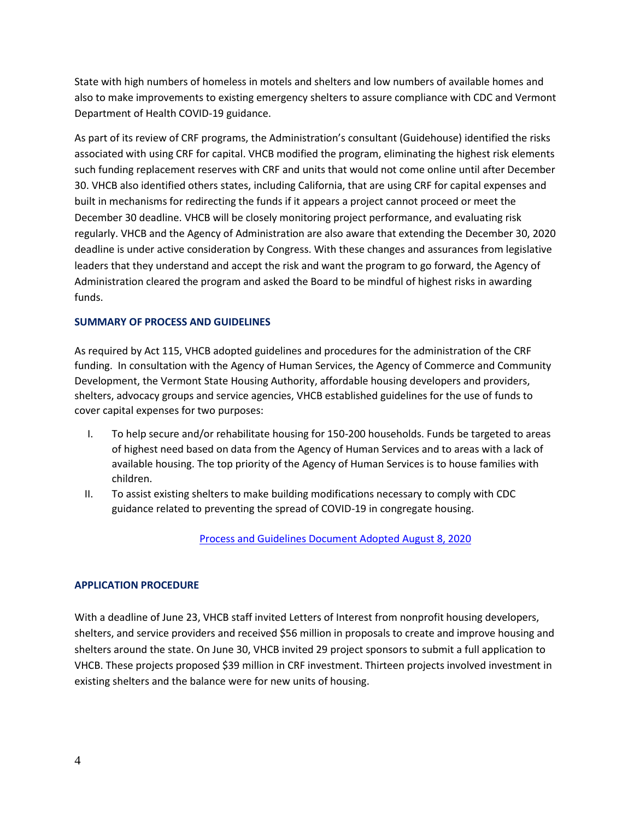State with high numbers of homeless in motels and shelters and low numbers of available homes and also to make improvements to existing emergency shelters to assure compliance with CDC and Vermont Department of Health COVID-19 guidance.

As part of its review of CRF programs, the Administration's consultant (Guidehouse) identified the risks associated with using CRF for capital. VHCB modified the program, eliminating the highest risk elements such funding replacement reserves with CRF and units that would not come online until after December 30. VHCB also identified others states, including California, that are using CRF for capital expenses and built in mechanisms for redirecting the funds if it appears a project cannot proceed or meet the December 30 deadline. VHCB will be closely monitoring project performance, and evaluating risk regularly. VHCB and the Agency of Administration are also aware that extending the December 30, 2020 deadline is under active consideration by Congress. With these changes and assurances from legislative leaders that they understand and accept the risk and want the program to go forward, the Agency of Administration cleared the program and asked the Board to be mindful of highest risks in awarding funds.

# **SUMMARY OF PROCESS AND GUIDELINES**

As required by Act 115, VHCB adopted guidelines and procedures for the administration of the CRF funding. In consultation with the Agency of Human Services, the Agency of Commerce and Community Development, the Vermont State Housing Authority, affordable housing developers and providers, shelters, advocacy groups and service agencies, VHCB established guidelines for the use of funds to cover capital expenses for two purposes:

- I. To help secure and/or rehabilitate housing for 150-200 households. Funds be targeted to areas of highest need based on data from the Agency of Human Services and to areas with a lack of available housing. The top priority of the Agency of Human Services is to house families with children.
- II. To assist existing shelters to make building modifications necessary to comply with CDC guidance related to preventing the spread of COVID-19 in congregate housing.

[Process and Guidelines Document Adopted August 8, 2020](https://www.vhcb.org/guidance-and-procedures-for-crf-funding)

# **APPLICATION PROCEDURE**

With a deadline of June 23, VHCB staff invited Letters of Interest from nonprofit housing developers, shelters, and service providers and received \$56 million in proposals to create and improve housing and shelters around the state. On June 30, VHCB invited 29 project sponsors to submit a full application to VHCB. These projects proposed \$39 million in CRF investment. Thirteen projects involved investment in existing shelters and the balance were for new units of housing.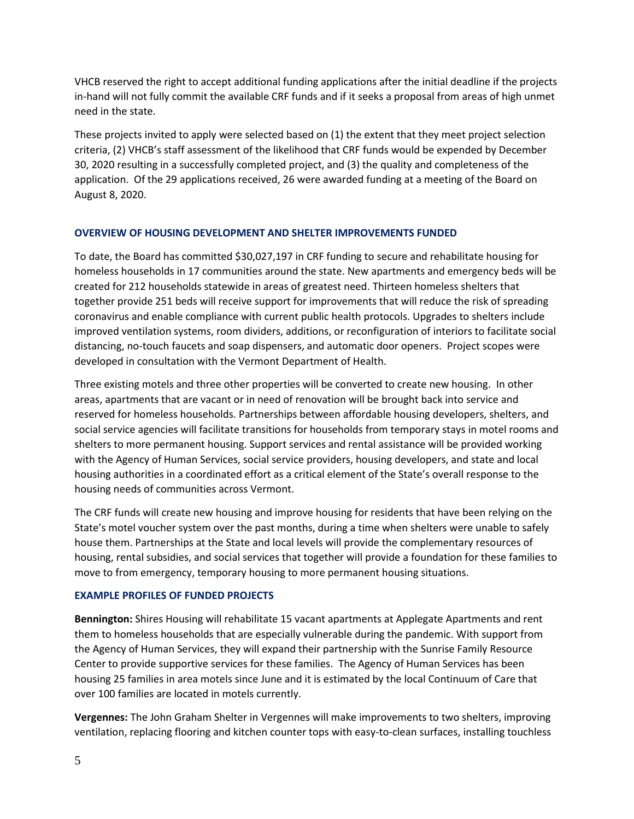VHCB reserved the right to accept additional funding applications after the initial deadline if the projects in-hand will not fully commit the available CRF funds and if it seeks a proposal from areas of high unmet need in the state.

These projects invited to apply were selected based on (1) the extent that they meet project selection criteria, (2) VHCB's staff assessment of the likelihood that CRF funds would be expended by December 30, 2020 resulting in a successfully completed project, and (3) the quality and completeness of the application. Of the 29 applications received, 26 were awarded funding at a meeting of the Board on August 8, 2020.

# **OVERVIEW OF HOUSING DEVELOPMENT AND SHELTER IMPROVEMENTS FUNDED**

To date, the Board has committed \$30,027,197 in CRF funding to secure and rehabilitate housing for homeless households in 17 communities around the state. New apartments and emergency beds will be created for 212 households statewide in areas of greatest need. Thirteen homeless shelters that together provide 251 beds will receive support for improvements that will reduce the risk of spreading coronavirus and enable compliance with current public health protocols. Upgrades to shelters include improved ventilation systems, room dividers, additions, or reconfiguration of interiors to facilitate social distancing, no-touch faucets and soap dispensers, and automatic door openers. Project scopes were developed in consultation with the Vermont Department of Health.

Three existing motels and three other properties will be converted to create new housing. In other areas, apartments that are vacant or in need of renovation will be brought back into service and reserved for homeless households. Partnerships between affordable housing developers, shelters, and social service agencies will facilitate transitions for households from temporary stays in motel rooms and shelters to more permanent housing. Support services and rental assistance will be provided working with the Agency of Human Services, social service providers, housing developers, and state and local housing authorities in a coordinated effort as a critical element of the State's overall response to the housing needs of communities across Vermont.

The CRF funds will create new housing and improve housing for residents that have been relying on the State's motel voucher system over the past months, during a time when shelters were unable to safely house them. Partnerships at the State and local levels will provide the complementary resources of housing, rental subsidies, and social services that together will provide a foundation for these families to move to from emergency, temporary housing to more permanent housing situations.

# **EXAMPLE PROFILES OF FUNDED PROJECTS**

**Bennington:** Shires Housing will rehabilitate 15 vacant apartments at Applegate Apartments and rent them to homeless households that are especially vulnerable during the pandemic. With support from the Agency of Human Services, they will expand their partnership with the Sunrise Family Resource Center to provide supportive services for these families. The Agency of Human Services has been housing 25 families in area motels since June and it is estimated by the local Continuum of Care that over 100 families are located in motels currently.

**Vergennes:** The John Graham Shelter in Vergennes will make improvements to two shelters, improving ventilation, replacing flooring and kitchen counter tops with easy-to-clean surfaces, installing touchless